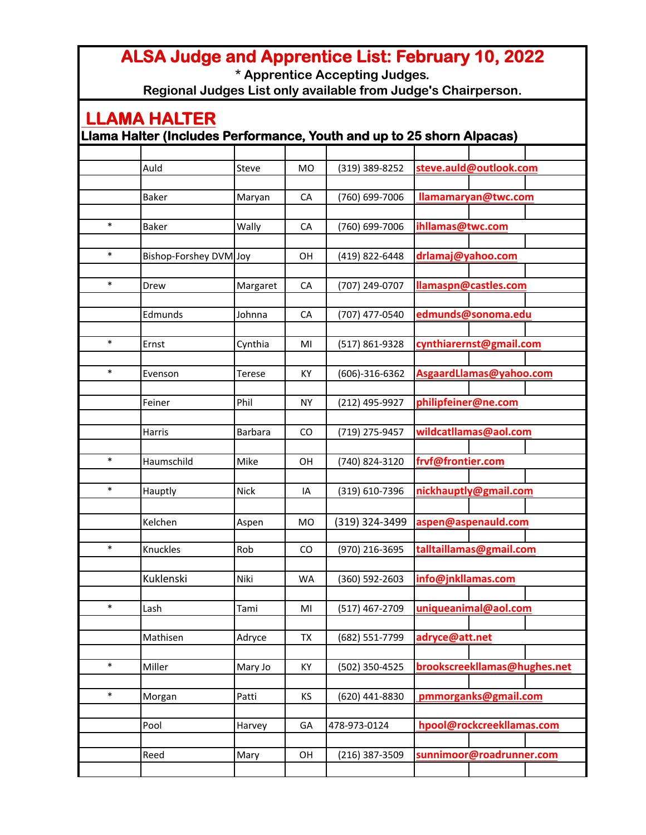## **ALSA Judge and Apprentice List: February 10, 2022**

**\* Apprentice Accepting Judges.**

**Regional Judges List only available from Judge's Chairperson.**

## **LLAMA HALTER Llama Halter (Includes Performance, Youth and up to 25 shorn Alpacas)** Auld **Steve MO (319) 389-8252 steve.auld@outlook.com** Baker **Maryan CA (760) 699-7006 <b>Ilamamaryan@twc.com** \* Baker Wally CA (760) 699-7006 **ihllamas@twc.com** \* Bishop-Forshey DVM Joy OH (419) 822-6448 **drlamaj@yahoo.com** \* Drew Margaret CA (707) 249-0707 **llamaspn@castles.com** Edmunds Johnna CA (707) 477-0540 **edmunds@sonoma.edu** \* Ernst Cynthia MI (517) 861-9328 **cynthiarernst@gmail.com** \* Evenson Terese KY (606)-316-6362 **AsgaardLlamas@yahoo.com** Feiner Phil NY (212) 495-9927 **philipfeiner@ne.com** Harris **Barbara** | CO | (719) 275-9457 **wildcatllamas@aol.com** \* Haumschild Mike OH (740) 824-3120 **frvf@frontier.com** \* Hauptly Nick IA (319) 610-7396 **nickhauptly@gmail.com** Kelchen Aspen MO (319) 324-3499 **aspen@aspenauld.com** \* Knuckles Rob CO (970) 216-3695 **talltaillamas@gmail.com** Kuklenski Niki WA (360) 592-2603 **info@jnkllamas.com** \* Lash Tami MI (517) 467-2709 **uniqueanimal@aol.com** Mathisen **Adryce TX (682) 551-7799** adryce@att.net \* | Miller | Mary Jo | KY | (502) 350-4525 **brookscreekllamas@hughes.net** \* |Morgan |Patti | KS | (620) 441-8830 | **pmmorganks@gmail.com** Pool **Harvey GA 478-973-0124 hpool@rockcreekllamas.com** Reed Mary OH (216) 387-3509 **sunnimoor@roadrunner.com**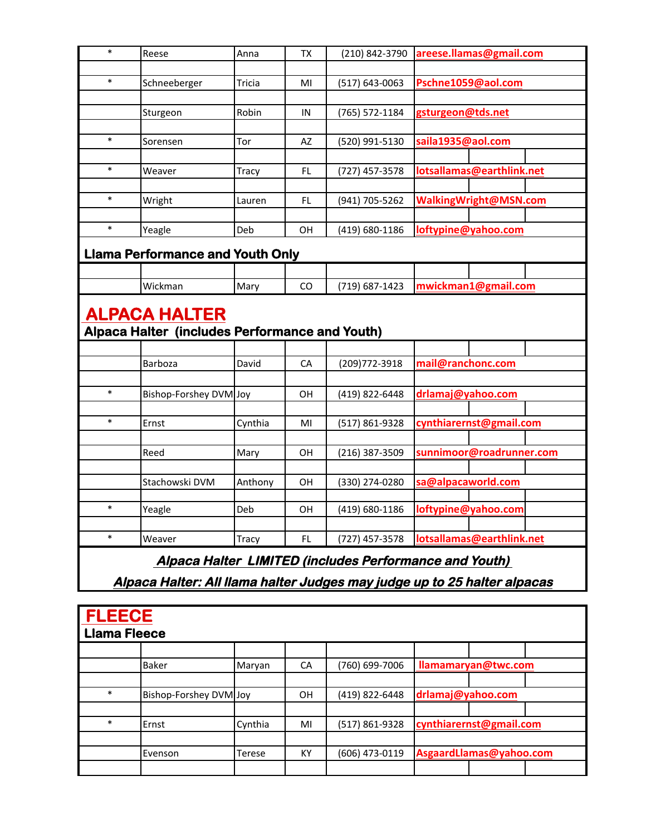| $\ast$                                                                   | Reese                                   | Anna         | TX  | (210) 842-3790 | areese.llamas@gmail.com   |  |  |  |
|--------------------------------------------------------------------------|-----------------------------------------|--------------|-----|----------------|---------------------------|--|--|--|
|                                                                          |                                         |              |     |                |                           |  |  |  |
| $\ast$                                                                   | Schneeberger                            | Tricia       | MI  | (517) 643-0063 | Pschne1059@aol.com        |  |  |  |
|                                                                          |                                         |              |     |                |                           |  |  |  |
|                                                                          | Sturgeon                                | Robin        | IN  | (765) 572-1184 | gsturgeon@tds.net         |  |  |  |
| $\ast$                                                                   | Sorensen                                | Tor          | AZ  | (520) 991-5130 | saila1935@aol.com         |  |  |  |
|                                                                          |                                         |              |     |                |                           |  |  |  |
| $\ast$                                                                   | Weaver                                  | Tracy        | FL  | (727) 457-3578 | lotsallamas@earthlink.net |  |  |  |
|                                                                          |                                         |              |     |                |                           |  |  |  |
| $\ast$                                                                   | Wright                                  | Lauren       | FL  | (941) 705-5262 | WalkingWright@MSN.com     |  |  |  |
|                                                                          |                                         |              |     |                |                           |  |  |  |
| $\ast$                                                                   | Yeagle                                  | Deb          | OН  | (419) 680-1186 | loftypine@yahoo.com       |  |  |  |
|                                                                          | <b>Llama Performance and Youth Only</b> |              |     |                |                           |  |  |  |
|                                                                          |                                         |              |     |                |                           |  |  |  |
|                                                                          | Wickman                                 | Mary         | CO  | (719) 687-1423 | mwickman1@gmail.com       |  |  |  |
|                                                                          |                                         |              |     |                |                           |  |  |  |
| <b>ALPACA HALTER</b>                                                     |                                         |              |     |                |                           |  |  |  |
| Alpaca Halter (includes Performance and Youth)                           |                                         |              |     |                |                           |  |  |  |
|                                                                          |                                         |              |     |                |                           |  |  |  |
|                                                                          | Barboza                                 | David        | CA  | (209) 772-3918 | mail@ranchonc.com         |  |  |  |
|                                                                          |                                         |              |     |                |                           |  |  |  |
| $\ast$                                                                   | Bishop-Forshey DVM Joy                  |              | OН  | (419) 822-6448 | drlamaj@yahoo.com         |  |  |  |
|                                                                          |                                         |              |     |                |                           |  |  |  |
| $\ast$                                                                   | Ernst                                   | Cynthia      | MI  | (517) 861-9328 | cynthiarernst@gmail.com   |  |  |  |
|                                                                          |                                         |              |     |                |                           |  |  |  |
|                                                                          | Reed                                    | Mary         | OН  | (216) 387-3509 | sunnimoor@roadrunner.com  |  |  |  |
|                                                                          |                                         |              |     |                |                           |  |  |  |
|                                                                          | Stachowski DVM                          | Anthony      | OН  | (330) 274-0280 | sa@alpacaworld.com        |  |  |  |
| $\ast$                                                                   | Yeagle                                  | Deb          | OН  | (419) 680-1186 | loftypine@yahoo.com       |  |  |  |
|                                                                          |                                         |              |     |                |                           |  |  |  |
| $\ast$                                                                   | Weaver                                  | <b>Tracy</b> | FL. | (727) 457-3578 | lotsallamas@earthlink.net |  |  |  |
|                                                                          |                                         |              |     |                |                           |  |  |  |
| Alpaca Halter LIMITED (includes Performance and Youth)                   |                                         |              |     |                |                           |  |  |  |
| Alpaca Halter: All llama halter Judges may judge up to 25 halter alpacas |                                         |              |     |                |                           |  |  |  |

| <b>FLEECE</b><br><b>Llama Fleece</b> |                        |         |    |                |                         |  |  |  |
|--------------------------------------|------------------------|---------|----|----------------|-------------------------|--|--|--|
|                                      |                        |         |    |                |                         |  |  |  |
|                                      | <b>Baker</b>           | Maryan  | CA | (760) 699-7006 | llamamaryan@twc.com     |  |  |  |
|                                      |                        |         |    |                |                         |  |  |  |
| $\ast$                               | Bishop-Forshey DVM Joy |         | 0H | (419) 822-6448 | drlamaj@yahoo.com       |  |  |  |
|                                      |                        |         |    |                |                         |  |  |  |
| $\ast$                               | <b>IErnst</b>          | Cynthia | MI | (517) 861-9328 | cynthiarernst@gmail.com |  |  |  |
|                                      |                        |         |    |                |                         |  |  |  |
|                                      | Evenson                | .Terese | KY | (606) 473-0119 | AsgaardLlamas@yahoo.com |  |  |  |
|                                      |                        |         |    |                |                         |  |  |  |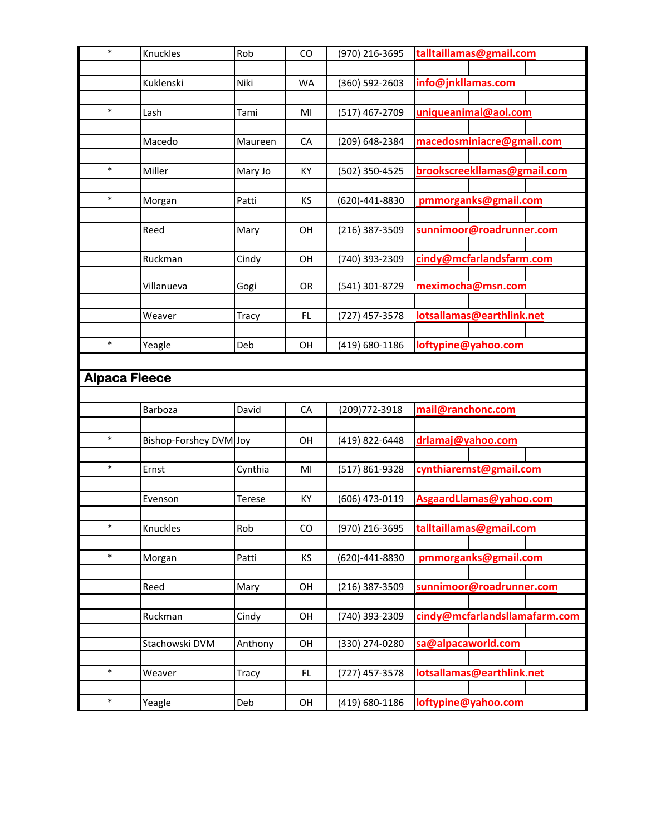| $\ast$               | Knuckles               | Rob          | CO              | (970) 216-3695   | talltaillamas@gmail.com       |  |  |  |
|----------------------|------------------------|--------------|-----------------|------------------|-------------------------------|--|--|--|
|                      |                        |              |                 |                  |                               |  |  |  |
|                      | Kuklenski              | Niki         | WA              | (360) 592-2603   | info@jnkllamas.com            |  |  |  |
|                      |                        |              |                 |                  |                               |  |  |  |
| $\ast$               | Lash                   | Tami         | MI              | (517) 467-2709   | uniqueanimal@aol.com          |  |  |  |
|                      |                        |              |                 |                  |                               |  |  |  |
|                      | Macedo                 | Maureen      | CA              | (209) 648-2384   | macedosminiacre@gmail.com     |  |  |  |
|                      |                        |              |                 |                  |                               |  |  |  |
| $\ast$               | Miller                 | Mary Jo      | KY              | (502) 350-4525   | brookscreekllamas@gmail.com   |  |  |  |
| $\ast$               |                        |              |                 |                  |                               |  |  |  |
|                      | Morgan                 | Patti        | KS              | (620)-441-8830   | pmmorganks@gmail.com          |  |  |  |
|                      | Reed                   |              |                 |                  |                               |  |  |  |
|                      |                        | Mary         | OH              | (216) 387-3509   | sunnimoor@roadrunner.com      |  |  |  |
|                      | Ruckman                | Cindy        | OH              | (740) 393-2309   | cindy@mcfarlandsfarm.com      |  |  |  |
|                      |                        |              |                 |                  |                               |  |  |  |
|                      | Villanueva             | Gogi         | $\overline{OR}$ | (541) 301-8729   | meximocha@msn.com             |  |  |  |
|                      |                        |              |                 |                  |                               |  |  |  |
|                      | Weaver                 | <b>Tracy</b> | FL              | (727) 457-3578   | lotsallamas@earthlink.net     |  |  |  |
|                      |                        |              |                 |                  |                               |  |  |  |
| $\ast$               | Yeagle                 | Deb          | OH              | (419) 680-1186   | loftypine@yahoo.com           |  |  |  |
|                      |                        |              |                 |                  |                               |  |  |  |
| <b>Alpaca Fleece</b> |                        |              |                 |                  |                               |  |  |  |
|                      |                        |              |                 |                  |                               |  |  |  |
|                      | Barboza                | David        | CA              | (209)772-3918    | mail@ranchonc.com             |  |  |  |
|                      |                        |              |                 |                  |                               |  |  |  |
| $\ast$               | Bishop-Forshey DVM Joy |              | OH              | (419) 822-6448   | drlamaj@yahoo.com             |  |  |  |
|                      |                        |              |                 |                  |                               |  |  |  |
| $\ast$               | Ernst                  | Cynthia      | MI              | (517) 861-9328   | cynthiarernst@gmail.com       |  |  |  |
|                      |                        |              |                 |                  |                               |  |  |  |
|                      | Evenson                | Terese       | KY              | (606) 473-0119   | Asgaard Llamas@yahoo.com      |  |  |  |
|                      |                        |              |                 |                  |                               |  |  |  |
| $\ast$               | Knuckles               | Rob          | CO              | (970) 216-3695   | talltaillamas@gmail.com       |  |  |  |
|                      |                        |              |                 |                  |                               |  |  |  |
| $\ast$               | Morgan                 | Patti        | KS              | (620)-441-8830   | pmmorganks@gmail.com          |  |  |  |
|                      |                        |              |                 |                  |                               |  |  |  |
|                      | Reed                   | Mary         | OH              | (216) 387-3509   | sunnimoor@roadrunner.com      |  |  |  |
|                      |                        | Cindy        |                 | (740) 393-2309   | cindy@mcfarlandsllamafarm.com |  |  |  |
|                      |                        |              |                 |                  |                               |  |  |  |
|                      | Ruckman                |              | OH              |                  |                               |  |  |  |
|                      | Stachowski DVM         |              | $\overline{OH}$ | $(330)$ 274-0280 |                               |  |  |  |
|                      |                        | Anthony      |                 |                  | sa@alpacaworld.com            |  |  |  |
| $\ast$               | Weaver                 | Tracy        | FL              | (727) 457-3578   | lotsallamas@earthlink.net     |  |  |  |
|                      |                        |              |                 |                  |                               |  |  |  |